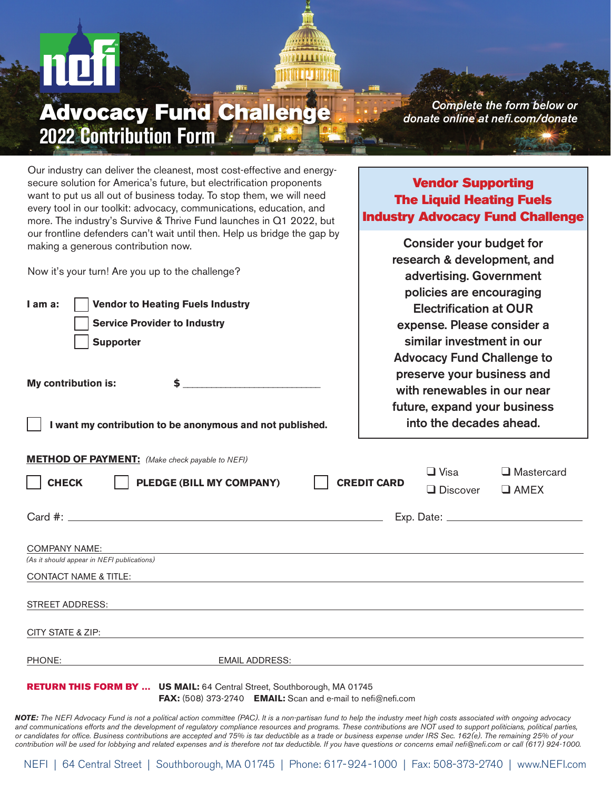## *Complete the form below or* Advocacy Fund Challenge *donate online at nefi.com/donate* **2022 Contribution Form**

Vendor Supporting The Liquid Heating Fuels Industry Advocacy Fund Challenge

> Consider your budget for research & development, and advertising. Government

Our industry can deliver the cleanest, most cost-effective and energysecure solution for America's future, but electrification proponents want to put us all out of business today. To stop them, we will need every tool in our toolkit: advocacy, communications, education, and more. The industry's Survive & Thrive Fund launches in Q1 2022, but our frontline defenders can't wait until then. Help us bridge the gap by making a generous contribution now.

Now it's your turn! Are you up to the challenge?

| I am a:<br><b>Vendor to Heating Fuels Industry</b><br><b>Service Provider to Industry</b><br><b>Supporter</b><br>My contribution is:<br>I want my contribution to be anonymous and not published. | policies are encouraging<br><b>Electrification at OUR</b><br>expense. Please consider a<br>similar investment in our<br><b>Advocacy Fund Challenge to</b><br>preserve your business and<br>with renewables in our near<br>future, expand your business<br>into the decades ahead. |                                |                                  |
|---------------------------------------------------------------------------------------------------------------------------------------------------------------------------------------------------|-----------------------------------------------------------------------------------------------------------------------------------------------------------------------------------------------------------------------------------------------------------------------------------|--------------------------------|----------------------------------|
| <b>METHOD OF PAYMENT:</b> (Make check payable to NEFI)<br><b>PLEDGE (BILL MY COMPANY)</b><br><b>CHECK</b>                                                                                         | <b>CREDIT CARD</b>                                                                                                                                                                                                                                                                | $\Box$ Visa<br>$\Box$ Discover | $\Box$ Mastercard<br>$\Box$ AMEX |
|                                                                                                                                                                                                   |                                                                                                                                                                                                                                                                                   |                                |                                  |
| <b>COMPANY NAME:</b><br>(As it should appear in NEFI publications)<br><b>CONTACT NAME &amp; TITLE:</b><br>,我们也不会有一个人的人,我们也不会有一个人的人,我们也不会有一个人的人。""我们,我们也不会有一个人的人,我们也不会有一个人的人,我们也不会有一个人的人。""我       |                                                                                                                                                                                                                                                                                   |                                |                                  |
| <b>STREET ADDRESS:</b><br>,我们也不会有什么。""我们的人,我们也不会有什么?""我们的人,我们也不会有什么?""我们的人,我们也不会有什么?""我们的人,我们也不会有什么?""我们的人                                                                                        |                                                                                                                                                                                                                                                                                   |                                |                                  |
| CITY STATE & ZIP:                                                                                                                                                                                 |                                                                                                                                                                                                                                                                                   |                                |                                  |
| PHONE:<br><b>EMAIL ADDRESS:</b>                                                                                                                                                                   |                                                                                                                                                                                                                                                                                   |                                |                                  |
| <b>RETURN THIS FORM BY  US MAIL: 64 Central Street, Southborough, MA 01745</b><br>FAX: (508) 373-2740 EMAIL: Scan and e-mail to nefi@nefi.com                                                     |                                                                                                                                                                                                                                                                                   |                                |                                  |

*NOTE: The NEFI Advocacy Fund is not a political action committee (PAC). It is a non-partisan fund to help the industry meet high costs associated with ongoing advocacy*  and communications efforts and the development of regulatory compliance resources and programs. These contributions are NOT used to support politicians, political parties, *or candidates for office. Business contributions are accepted and 75% is tax deductible as a trade or business expense under IRS Sec. 162(e). The remaining 25% of your contribution will be used for lobbying and related expenses and is therefore not tax deductible. If you have questions or concerns email nefi@nefi.com or call (617) 924-1000.*